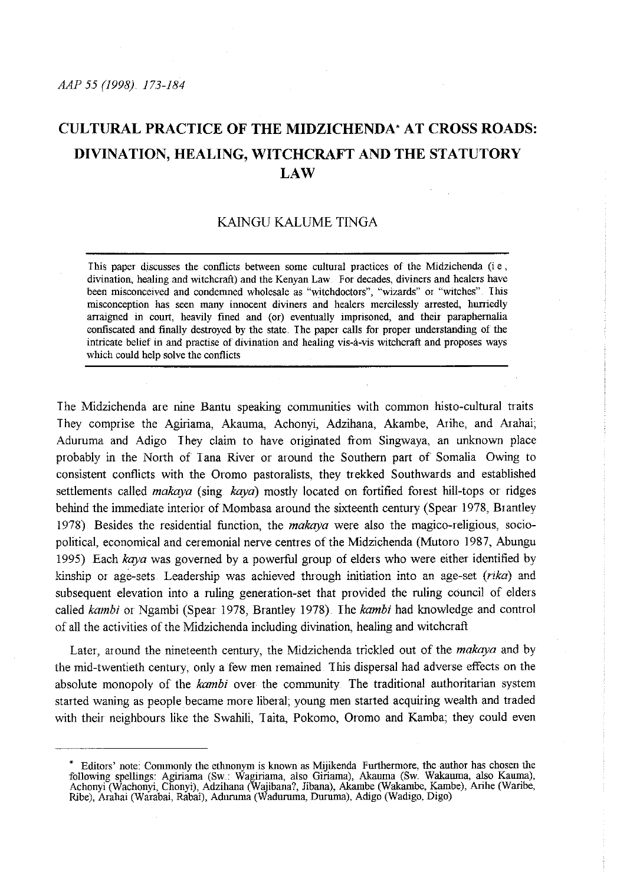# **CULTURAL PRACTICE OF THE MIDZICHENDA" AT CROSS ROADS: DIVINATION, HEALING, WITCHCRAFT AND THE STATUTORY LAW**

# KAINGU KALUME TINGA

This paper discusses the conflicts between some cultmal practices of the Midzichenda (i e , divination, healing and witchcraft) and the Kenyan Law. For decades, diviners and healers have been misconceived and condemned wholesale as "witchdoctors", "wizards" or "witches". This misconception has seen many innocent diviners and healers mercilessly arrested, hurriedly arraigned in court, heavily fined and (or) eventually imprisoned, and their paraphernalia confiscated and finally destroyed by the state. I he paper calls for proper understanding of the intricate belief in and practise of divination and healing vis-a-vis witchcraft and proposes ways which could help solve the conflicts

The Midzichenda are nine Bantu speaking communities with common histo-cultural traits They comprise the Agiriama, Akauma, Achonyi, Adzihana, Akambe, Arihe, and Arahai; Aduruma and Adigo They claim to have originated from Singwaya, an unknown place probably in the North of I ana River or around the Southern part of Somalia Owing to consistent conflicts with the Oromo pastoralists, they trekked Southwards and established settlements called *makaya* (sing *kaya)* mostly located on fortified forest hill-tops or ridges behind the immediate interior of Mombasa around the sixteenth century (Spear 1978, Btantley 1978) Besides the residential function, the *makaya* were also the magico-religious, sociopolitical, economical and ceremonial nerve centres of the Midzichenda (Mutoro 1987, Abungu 1995) Each *kaya* was governed by a powerful group of elders who were either identified by kinship or age-sets Leadership was achieved through initiation into an age-set *(rika)* and subsequent elevation into a ruling generation-set that provided the ruling council of elders called *kambi* or Ngambi (Spear 1978, Brantley 1978) The *kambi* had knowledge and control of all the activities of the Midzichenda including divination, healing and witchcraft

Later, around the nineteenth century, the Midzichenda trickled out of the *makaya* and by the mid-twentieth century, only a few men remained. This dispersal had adverse effects on the absolute monopoly of the *kambi* over the community The traditional authoritatian system started waning as people became more liberal; young men started acquiring wealth and traded with their neighbours like the Swahili, Taita, Pokomo, Oromo and Kamba; they could even

<sup>&#</sup>x27;Editors' note: Commonly the ethnonym is known as Mijikenda Furthermore, the author has chosen the following spellings: Agiriarna (Sw: Wagiriarna, also Giriarna), Akamna (Sw. Wakamna, also Kamna), Achonyi (Wachonyi, Chonyi), Adzihana (Wajibana?, Jibana), Akarnbe (Wakarnbe, Karnbe), Arihe (Waribe, Ribe), Arahai (Warabai, Rabai), Adumma (Wadurmna, Durmna), Adigo (Wadigo, Digo)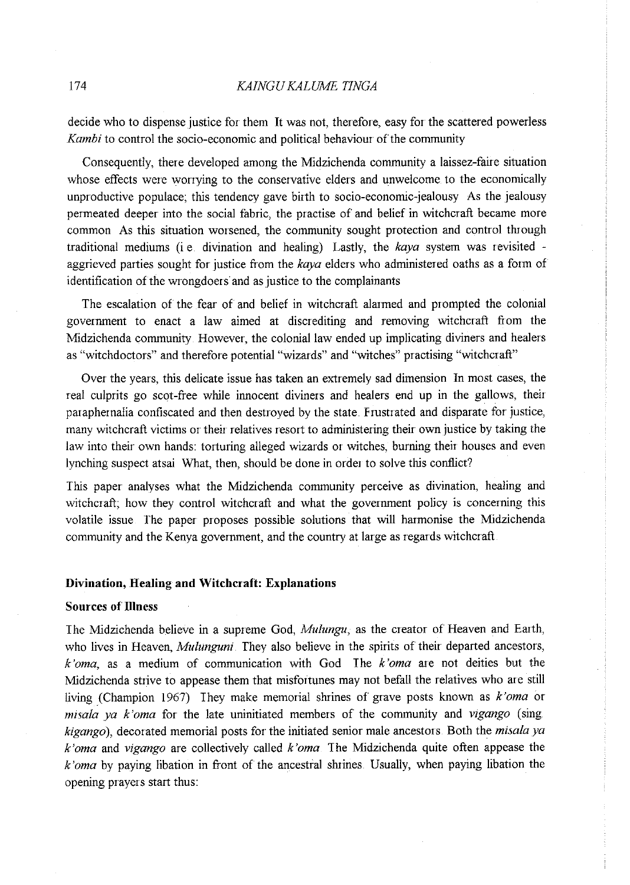decide who to dispense justice for them It was not, therefore, easy for the scattered powerless *Kambi* to control the socio-economic and political behaviour of the community

Consequently, there developed among the Midzichenda community a laissez-faire situation whose effects were worrying to the conservative elders and unwelcome to the economically unproductive populace; this tendency gave birth to socio-economic-jealousy As the jealousy permeated deeper into the social fabric, the practise of and belief in witchcraft became more common As this situation worsened, the community sought protection and control through traditional mediums (i e. divination and healing) Lastly, the *kaya* system was revisited aggrieved parties sought for justice from the *kaya* elders who administered oaths as a form of identification of the wrongdoers and as justice to the complainants

The escalation of the fear of and belief in witchcraft alarmed and prompted the colonial government to enact a law aimed at discrediting and removing witchcraft from the Midzichenda community However, the colonial law ended up implicating diviners and healers as "witchdoctors" and therefore potential "wizards" and "witches" practising "witchcraft"

Over the years, this delicate issue has taken an extremely sad dimension In most cases, the real culprits go scot-fiee while innocent diviners and healers end up in the gallows, their paraphernalia confiscated and then destroyed by the state. Frustrated and disparate for justice, many witchcraft victims or their relatives resort to administering their own justice by taking the law into their own hands: torturing alleged wizards or witches, burning their houses and even lynching suspect atsai What, then, should be done in order to solve this conflict?

This paper analyses what the Midzichenda community perceive as divination, healing and witchcraft; how they control witchcraft and what the government policy is concerning this volatile issue *The* paper proposes possible solutions that will harmonise the Midzichenda community and the Kenya government, and the country at large as regards witchcraft

#### **Divination, Healing and Witchcraft: Explanations**

# **Sources of Illness**

The Midzichenda believe in a supreme God, *Mulungu,* as the creator of Heaven and Earth, who lives in Heaven, *Mulunguni They* also believe in the spirits of their departed ancestors, *k'oma,* as a medium of comnmnication with God The *k'oma* are not deities but the Midzichenda strive to appease them that misfortunes may not befall the relatives who are still living (Champion 1967) They make memorial shrines of grave posts known as *k'oma* or *misala ya k'oma* for the late uninitiated members of the community and *vigango* (sing *kigango* ), decorated memorial posts for the initiated senior male ancestors Both the *misala ya k 'oma* and *vigango* are collectively called *k 'oma* The Midzichenda quite often appease the *k 'oma* by paying libation in front of the ancestral shrines Usually, when paying libation the opening prayers start thus: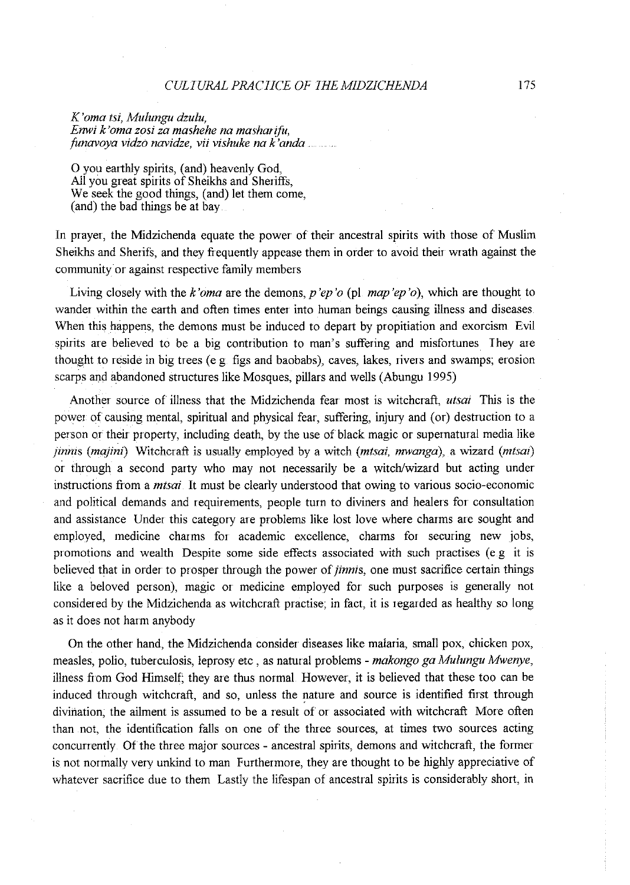#### *CULIURALPRACIICE OF IHEMIDZILriENDA*

*K'oma tsi, Mulungu dzulu, Enwi k'oma zosi za mashehe na masharifu, funavoya vidzo navidze, vii vishuke na k'anda* 

0 you earthly spirits, (and) heavenly God, All you great spirits of Sheikhs and Sheriffs, We seek the good things, (and) let them come, (and) the bad things be at bay

In prayer, the Midzichenda equate the power of their ancestral spirits with those of Muslim Sheikhs and Sherifs, and they frequently appease them in order to avoid their wrath against the community or against respective family members

Living closely with the *k'oma* are the demons, *p'ep'o* (pi *map 'ep* 'o), which are thought to wander within the earth and often times enter into human beings causing illness and diseases When this happens, the demons must be induced to depart by propitiation and exorcism Evil spirits are believed to be a big contribution to man's suffering and misfortunes They are thought to reside in big trees (e g figs and baobabs), caves, lakes, rivers and swamps; erosion scarps and abandoned structures like Mosques, pillars and wells (Abungu 1995)

Another source of illness that the Midzichenda fear most is witchcraft, *utsai* This is the power of causing mental, spiritual and physical fear, suffering, injury and (or) destruction to a person or their property, including death, by the use of black magic or supernatural media like *jinnis (majini)* Witchcraft is usually employed by a witch *(mtsai, mwanga)*, a wizard *(mtsai)* or through a second party who may not necessarily be a witch/wizard but acting under instructions from a *mtsai* It must be clearly understood that owing to various socio-economic and political demands and requirements, people turn to diviners and healers for consultation and assistance Under this category are problems like lost love where charms are sought and employed, medicine charms for academic excellence, charms for securing new jobs, promotions and wealth Despite some side effects associated with such practises (e.g it is believed that in order to prosper through the power of *jinnis*, one must sacrifice certain things like a beloved person), magic or medicine employed for such purposes is generally not considered by the Midzichenda as witchcraft practise; in fact, it is regarded as healthy so long as it does not harm anybody

On the other hand, the Midzichenda consider diseases like malaria, small pox, chicken pox, measles, polio, tuberculosis, leprosy etc , as natural problems - *makongo ga Mulungu Mwenye,*  illness from God Himself; they are thus normal However, it is believed that these too can be induced through witchcraft, and so, unless the nature and source is identified first through divination, the ailment is assumed to be a result of or associated with witchcraft More often than not, the identification falls on one of the three sources, at times two sources acting concurrently. Of the three major sources- ancestral spirits, demons and witchcraft, the former is not normally very unkind to man Furthermore, they are thought to be highly appreciative of whatever sacrifice due to them Lastly the lifespan of ancestral spirits is considerably short, in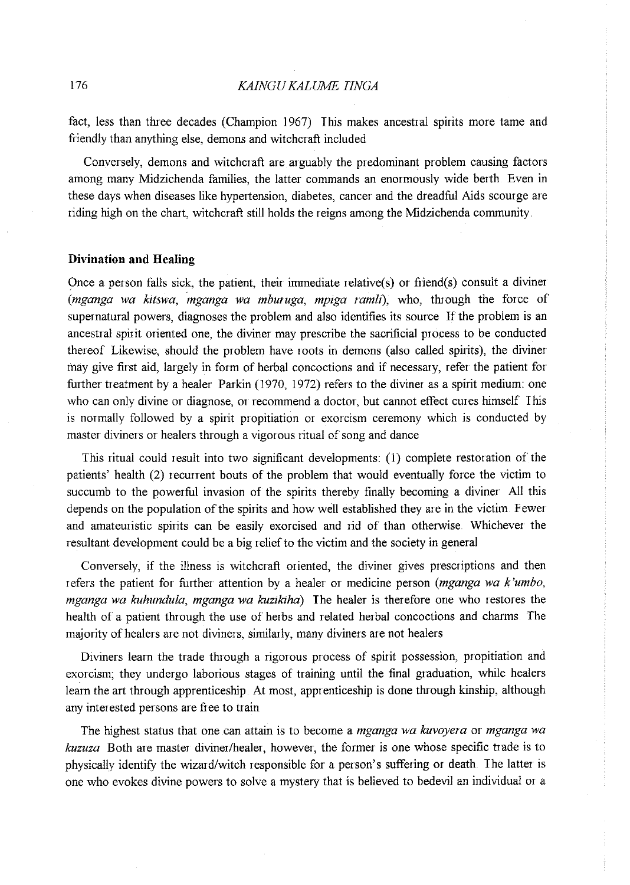fact, less than three decades (Champion 1967) This makes ancestral spirits more tame and friendly than anything else, demons and witchcraft included

Conversely, demons and witchcraft are arguably the predominant problem causing factors among many Midzichenda families, the latter commands an enormously wide berth Even in these days when diseases like hypertension, diabetes, cancer and the dreadful Aids scourge are riding high on the chart, witchcraft still holds the reigns among the Midzichenda community

## **Divination and Healing**

Once a person falls sick, the patient, their immediate relative(s) or friend(s) consult a diviner *(mganga wa kitswa, mganga wa mburuga, mpiga ramli),* who, through the force of supernatural powers, diagnoses the problem and also identifies its source If the problem is an ancestral spirit oriented one, the diviner may prescribe the sacrificial process to be conducted thereof Likewise, should the problem have roots in demons (also called spirits), the diviner may give first aid, largely in form of herbal concoctions and if necessary, refer the patient for further treatment by a healer Parkin (1970, 1972) refers to the diviner as a spirit medium: one who can only divine or diagnose, or recommend a doctor, but cannot effect cures himself. This is normally followed by a spirit propitiation or exorcism ceremony which is conducted by master diviners or healers through a vigorous ritual of song and dance

This ritual could result into two significant developments: (1) complete restoration of the patients' health (2) recunent bouts of the problem that would eventually force the victim to succumb to the powerful invasion of the spirits thereby finally becoming a diviner All this depends on the population of the spirits and how well established they are in the victim Fewer and amateuristic spirits can be easily exorcised and rid of than otherwise Whichever the resultant development could be a big relief to the victim and the society in general

Conversely, if the illness is witchcraft oriented, the diviner gives prescriptions and then refers the patient for further attention by a healer or medicine person *(mganga wa k 'umbo, mganga wa kuhundula, mganga wa kuzikiha)* The healer is therefore one who restores the health of a patient through the use of herbs and related herbal concoctions and charms The majority of healers are not diviners, similarly, many diviners are not healers

Diviners learn the trade through a rigorous process of spirit possession, propitiation and exorcism; they undergo laborious stages of training until the final graduation, while healers learn the art through apprenticeship At most, apprenticeship is done through kinship, although any interested persons are free to train

The highest status that one can attain is to become a *mganga wa kuvoyera* or *mganga wa kuzuza* Both are master diviner/healer, however, the former is one whose specific trade is to <sup>p</sup>hysically identifY the wizard/witch responsible for a person's suffering or death The latter is one who evokes divine powers to solve a mystery that is believed to bedevil an individual or a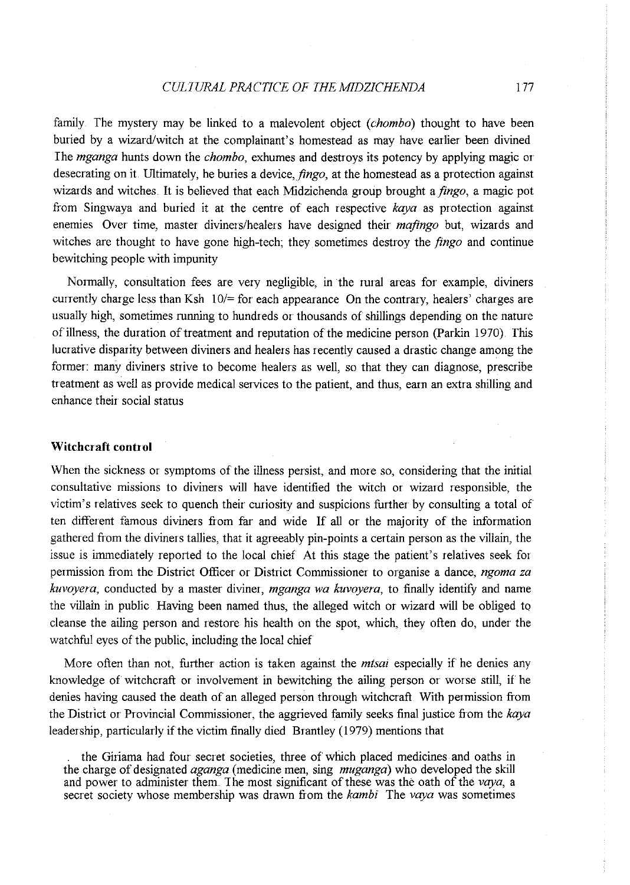## *CULTURAL PRACTICE OF IHEMIDZICHENDA* 177

family The mystery may be linked to a malevolent object *(chombo)* thought to have been buried by a wizard/witch at the complainant's homestead as may have earlier been divined I he *mganga* hunts down the *chombo,* exhumes and destroys its potency by applying magic or desecrating on it. Ultimately, he buries a device, *jingo,* at the homestead as a protection against wizards and witches It is believed that each Midzichenda group brought a *jingo,* a magic pot from Singwaya and buried it at the centre of each respective *kaya* as protection against enemies Over time, master diviners/healers have designed their *mafingo* but, wizards and witches are thought to have gone high-tech; they sometimes destroy the *jingo* and continue bewitching people with impunity

Normally, consultation fees are very negligible, in the rural areas for example, diviners currently charge less than Ksh  $10/=$  for each appearance On the contrary, healers' charges are usually high, sometimes running to hundreds or thousands of shillings depending on the nature of illness, the duration of treatment and reputation of the medicine person (Parkin 1970) This lucrative disparity between diviners and healers has recently caused a drastic change among the former: many diviners strive to become healers as well, so that they can diagnose, prescribe treatment as well as provide medical services to the patient, and thus, earn an extra shilling and enhance their social status

# **Witchcraft control**

When the sickness or symptoms of the illness persist, and more so, considering that the initial consultative missions to diviners will have identified the witch or wizard responsible, the victim's relatives seek to quench their curiosity and suspicions further by consulting a total of ten different famous diviners from far and wide If all or the majority of the information gathered fiom the diviners tallies, that it agreeably pin-points a certain person as the villain, the issue is immediately reported to the local chief At this stage the patient's relatives seek for permission from the District Officer or District Commissioner to organise a dance, *ngoma za kuvoyera,* conducted by a master diviner, *mganga wa kuvoyera,* to finally identify and name the villain in public Having been named thus, the alleged witch or wizard will be obliged to cleanse the ailing person and restore his health on the spot, which, they often do, under the watchful eyes of the public, including the local chief

More often than not, further action is taken against the *mtsai* especially if he denies any knowledge of witchcraft or involvement in bewitching the ailing person or worse still, if he denies having caused the death of an alleged person through witchcraft With permission from the District or Provincial Commissioner, the aggrieved family seeks final justice fiom the *kaya*  leadership, particularly if the victim finally died Brantley (1979) mentions that

the Giriama had four secret societies, three of which placed medicines and oaths in the charge of designated *aganga* (medicine men, sing *muganga)* who developed the skill and power to administer them The most significant of these was the oath of the *veya,* a secret society whose membership was drawn from the *kambi* The *veya* was sometimes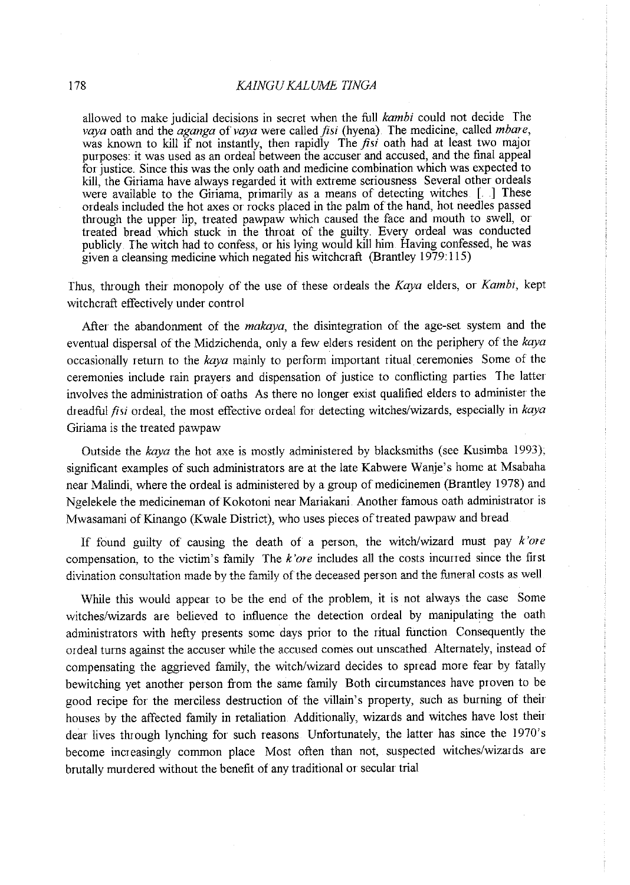allowed to make judicial decisions in secret when the full *kambi* could not decide The *vaya* oath and the *aganga* of *vaya* were called *fisi* (hyena) The medicine, called *mbare*, was known to kill if not instantly, then rapidly The *fisi* oath had at least two major purposes: it was used as an ordeal between the accuser and accused, and the final appea<sup>l</sup> for justice. Since this was the only oath and medicine combination which was expected to kill, the Giriama have always regarded it with extreme seriousness Several other ordeals were available to the Giriama, primarily as a means of detecting witches [. ] These ordeals included the hot axes or rocks placed in the palm of the hand, hot needles passed through the upper lip, treated pawpaw which caused the face and mouth to swell, or treated bread which stuck in the throat of the guilty. Every ordeal was conducted publicly. The witch had to confess, or his lying would kill him. Having confessed, he was <sup>g</sup>iven a cleansing medicine which negated his witchcraft (Brantley 1979:115)

Thus, through their monopoly of the use of these ordeals the *Kaya* elders, or *Kambi,* kept witchcraft effectively under control

After the abandonment of the *makaya*, the disintegration of the age-set system and the eventual dispersal of the Midzichenda, only a few elders resident on the periphery of the *kaya* occasiomilly return to the *kaya* mainly to perform important ritual ceremonies Some of the ceremonies include rain prayers and dispensation of justice to conflicting parties The latter involves the administration of oaths As there no longer exist qualified elders to administer the dreadful *fisi* ordeal, the most effective ordeal for detecting witches/wizards, especially in *kaya* Giriama is the treated pawpaw

Outside the *kaya* the hot axe is mostly administered by blacksmiths (see Kusimba 1993), significant examples of such administrators are at the late Kabwere Wanje's home at Msabaha near Malindi, where the ordeal is administered by a group of medicinemen (Brantley 1978) and Ngelekele the medicineman of Kokotoni near Mariakani. Another famous oath administrator is Mwasamani of Kinango (Kwale District), who uses pieces of treated pawpaw and bread.

If found guilty of causing the death of a person, the witch/wizard must pay *k'ore*  compensation, to the victim's family The *k'ore* includes all the costs incuned since the first divination consultation made by the family of the deceased person and the funeral costs as well.

While this would appear to be the end of the problem, it is not always the case Some witches/wizards are believed to influence the detection ordeal by manipulating the oath administrators with hefty presents some days prior to the ritual function Consequently the ordeal turns against the accuser while the accused comes out unscathed. Alternately, instead of compensating the aggrieved family, the witch/wizard decides to spread more fear by fatally bewitching yet another person from the same family Both circumstances have proven to be good recipe for the merciless destruction of the villain's property, such as burning of their houses by the affected family in retaliation. Additionally, wizards and witches have lost their dear lives through lynching for such reasons Unfortunately, the latter has since the 1970's become increasingly common place Most often than not, suspected witches/wizards are brutally murdered without the benefit of any traditional or secular trial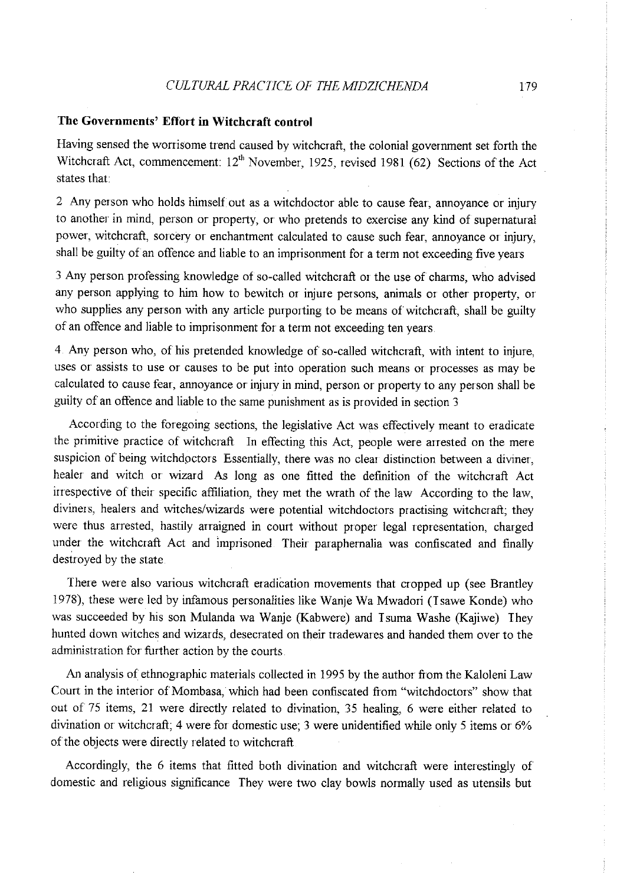# **The Governments' Effort in Witchcraft control**

Having sensed the worrisome trend caused by witchcraft, the colonial government set forth the Witchcraft Act, commencement:  $12<sup>th</sup>$  November, 1925, revised 1981 (62) Sections of the Act states that:

2 Any person who holds himself out as a witchdoctor able to cause fear, annoyance or injury to another in mind, person or property, or who pretends to exercise any kind of supernatural power, witchcraft, sorcery or enchantment calculated to cause such fear, annoyance or injury, shall be guilty of an offence and liable to an imprisonment for a term not exceeding five years

3 Any person professing knowledge of so-called witchcraft or the use of charms, who advised any person applying to him how to bewitch or injure persons, animals or other property, or who supplies any person with any article purporting to be means of witchcraft, shall be guilty of an offence and liable to imprisonment for a term not exceeding ten years

4 Any person who, of his pretended knowledge of so-called witchcraft, with intent to injure, uses or assists to use or causes to be put into operation such means or processes as may be calculated to cause fear, annoyance or injury in mind, person or property to any person shall be guilty of an offence and liable to the same punishment as is provided in section 3

According to the foregoing sections, the legislative Act was effectively meant to eradicate the primitive practice of witchcraft In effecting this Act, people were arrested on the mere suspicion of being witchdoctors Essentially, there was no clear distinction between a diviner, healer and witch or wizard As long as one fitted the definition of the witchcraft Act irrespective of their specific affiliation, they met the wrath of the law According to the law, diviners, healers and witches/wizards were potential witchdoctors practising witchcraft; they were thus arrested, hastily arraigned in court without proper legal representation, charged under the witchcraft Act and imprisoned Their paraphernalia was confiscated and finally destroyed by the state

There were also various witchcraft eradication movements that cropped up (see Brantley 1978), these were led by infamous personalities like Wanje Wa Mwadori (Isawe Konde) who was succeeded by his son Mulanda wa Wanje (Kabwere) and Isuma Washe (Kajiwe) They hunted down witches and wizards, desecrated on their tradewares and handed them over to the **administration for further action by the courts.** 

An analysis of ethnographic materials collected in 1995 by the author from the Kaloleni Law Court in the interior of Mombasa, which had been confiscated from "witchdoctors" show that out of 75 items, 21 were directly related to divination, 35 healing, 6 were either related to divination or witchcraft; 4 were for domestic use; 3 were unidentified while only 5 items or 6% of the objects were directly related to witchcraft.

Accordingly, the 6 items that fitted both divination and witchcraft were interestingly of domestic and religious significance *They* were two clay bowls normally used as utensils but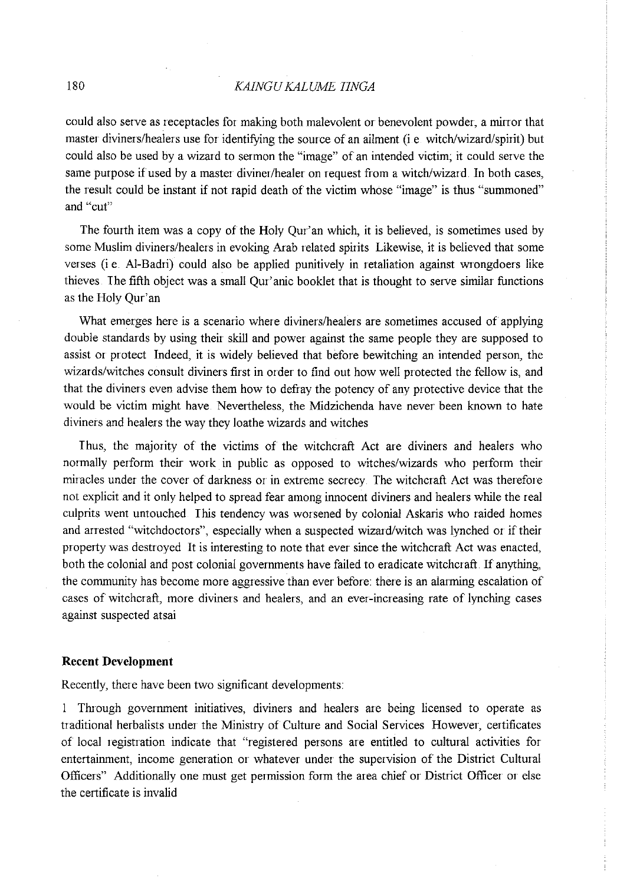# 180 *KAINGU KALUME IINGA*

could also serve as receptacles for making both malevolent or benevolent powder, a minor that master diviners/healers use for identifying the source of an ailment (i e witch/wizard/spirit) but could also be used by a wizard to sermon the "image" of an intended victim; it could serve the same purpose if used by a master diviner/healer on request from a witch/wizard. In both cases, the result could be instant if not rapid death of the victim whose "image" is thus "summoned" **and "cut"** 

The fourth item was a copy of the Holy Qur'an which, it is believed, is sometimes used by some Muslim diviners/healers in evoking Arab related spirits Likewise, it is believed that some verses (i e. AI-Badri) could also be applied punitively in retaliation against wrongdoers like thieves I he fifth object was a small Qur' anic booklet that is thought to serve similar functions as the Holy Qur'an

What emerges here is a scenario where diviners/healers are sometimes accused of applying double standards by using their skill and power against the same people they are supposed to assist or protect Indeed, it is widely believed that before bewitching an intended person, the wizards/witches consult diviners first in order to find out how well protected the fellow is, and that the diviners even advise them how to defray the potency of any protective device that the would be victim might have Nevertheless, the Midzichenda have never been known to hate diviners and healers the way they loathe wizards and witches

Thus, the majority of the victims of the witchcraft Act are diviners and healers who normally perform their work in public as opposed to witches/wizards who perform their miracles under the cover of darkness or in extreme secrecy. The witchcraft Act was therefore not explicit and it only helped to spread fear among innocent diviners and healers while the real culprits went untouched I his tendency was worsened by colonial Askaris who raided homes and arrested "witchdoctors", especially when a suspected wizard/witch was lynched or if their property was destroyed It is interesting to note that ever since the witchcraft Act was enacted, both the colonial and post colonial governments have failed to eradicate witchcraft. If anything, the community has become more aggressive than ever before: there is an alanning escalation of cases of witchcraft, more diviners and healers, and an ever-increasing rate of lynching cases against suspected atsai

## **Recent Development**

Recently, there have been two significant developments:

1 Through government initiatives, diviners and healers are being licensed to operate as traditional herbalists under the Ministry of Culture and Social Services However, certificates of local registration indicate that "registered persons are entitled to cultural activities for entertainment, income generation or whatever under the supervision of the District Cultural Officers" Additionally one must get permission form the area chief or District Officer or else the certificate is invalid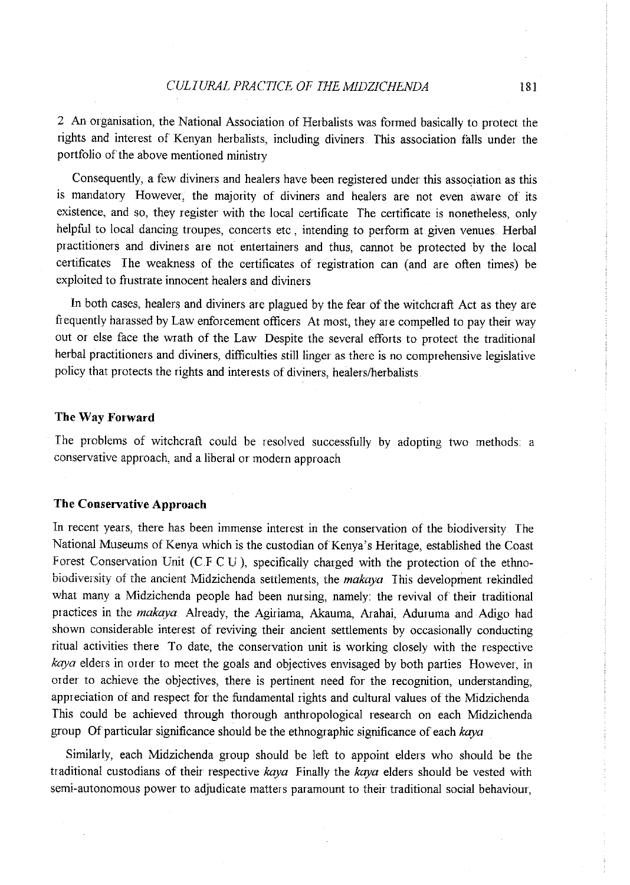2 An organisation, the National Association of Herbalists was formed basically to protect the rights and interest of Kenyan herbalists, including diviners. This association falls under the portfolio of the above mentioned ministry

Consequently, a few diviners and healers have been registered under this association as this is mandatory However, the majority of diviners and healers are not even aware of its existence, and so, they register with the local certificate *The* certificate is nonetheless, only helpful to local dancing troupes, concerts etc, intending to perform at given venues. Herbal practitioners and diviners are not entertainers and thus, cannot be protected by the local certificates The weakness of the certificates of registration can (and are often times) be exploited to frustrate innocent healers and diviners

In both cases, healers and diviners are plagued by the fear of the witchcraft Act as they are frequently harassed by Law enforcement officers At most, they are compelled to pay their way out or else face the wrath of the Law Despite the several efforts to protect the traditional herbal practitioners and diviners, difficulties still linger as there is no comprehensive legislative policy that protects the rights and interests of diviners, healers/herbalists

#### **The Way Forward**

The problems of witchcraft could be resolved successfully by adopting two methods: a conservative approach, and a liberal or modern approach

## **The Conservative Approach**

In recent years, there has been immense interest in the conservation of the biodiversity The National Museums of Kenya which is the custodian of Kenya's Heritage, established the Coast Forest Conservation Unit (C.F.C.U.), specifically charged with the protection of the ethnobiodiversity of the ancient Midzichenda settlements, the *makaya* I his development rekindled what many a Midzichenda people had been nursing, namely: the revival of their traditional practices in the *makaya.* Already, the Agiriama, Akauma, Arahai, Aduruma and Adigo had shown considerable interest of reviving their ancient settlements by occasionally conducting ritual activities there To date, the conservation unit is working closely with the respective *kaya* elders in order to meet the goals and objectives envisaged by both parties However, in order to achieve the objectives, there is pertinent need for the recognition, understanding, appreciation of and respect for the fundamental rights and cultural values of the Midzichenda This could be achieved through thorough anthropological research on each Midzichenda group Of particular significance should be the ethnographic significance of each *kaya* 

Similarly, each Midzichenda group should be left to appoint elders who should be the traditional custodians of their respective *kaya* Finally the *kaya* elders should be vested with semi-autonomous power to adjudicate matters paramount to their traditional social behaviour,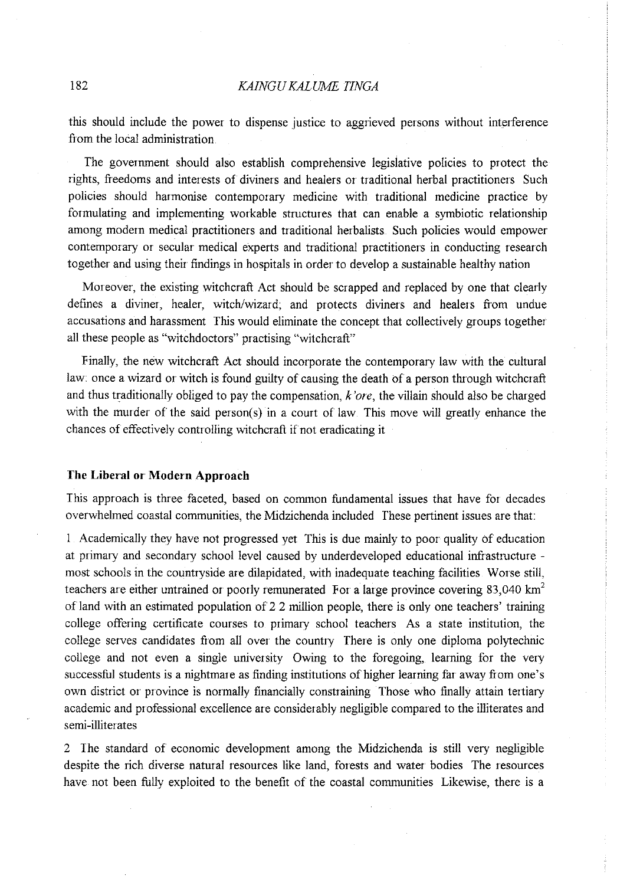this should include the power to dispense justice to aggrieved persons without interference fiom the local administration

The government should also establish comprehensive legislative policies to protect the rights, fieedoms and interests of diviners and healers or traditional herbal practitioners Such policies should harmonise contemporary medicine with traditional medicine practice by formulating and implementing workable structures that can enable a symbiotic relationship among modem medical practitioners and traditional herbalists Such policies would empower contemporary or secular medical experts and traditional practitioners in conducting research together and using their findings in hospitals in order to develop a sustainable healthy nation

Moreover, the existing witchcraft Act should be scrapped and replaced by one that clearly defines a diviner, healer, witch/wizard; and protects diviners and healers fiom undue accusations and harassment This would eliminate the concept that collectively groups together all these people as "witchdoctors" practising "witchcraft"

Finally, the new witchcraft Act should incorporate the contemporary law with the cultural law: once a wizard or witch is found guilty of causing the death of a person through witchcraft and thus traditionally obliged to pay the compensation,  $k'$  ore, the villain should also be charged with the murder of the said person( $s$ ) in a court of law. This move will greatly enhance the chances of effectively controlling witchcraft if not eradicating it

#### **The Liberal or· Modern Approach**

This approach is three faceted, based on common fundamental issues that have for decades overwhelmed coastal communities, the Midzichenda included These pertinent issues are that:

1 Academically they have not progressed yet This is due mainly to poor quality of education at primary and secondary school level caused by underdeveloped educational infiastructure most schools in the countryside are dilapidated, with inadequate teaching facilities Worse still, teachers are either untrained or poorly remunerated For a large province covering 83,040 km<sup>2</sup> of land with an estimated population of 2.2 million people, there is only one teachers' training college offering certificate courses to primary school teachers As a state institution, the college serves candidates from all over the country There is only one diploma polytechnic college and not even a single university Owing to the foregoing, learning for the very successful students is a nightmare as finding institutions of higher learning far away from one's own district or province is normally financially constraining Those who finally attain tertiary academic and professional excellence are considerably negligible compared to the illiterates and semi-illiterates

2 The standard of economic development among the Midzichenda is still very negligible despite the rich diverse natural resources like land, forests and water bodies The resources have not been fully exploited to the benefit of the coastal communities Likewise, there is a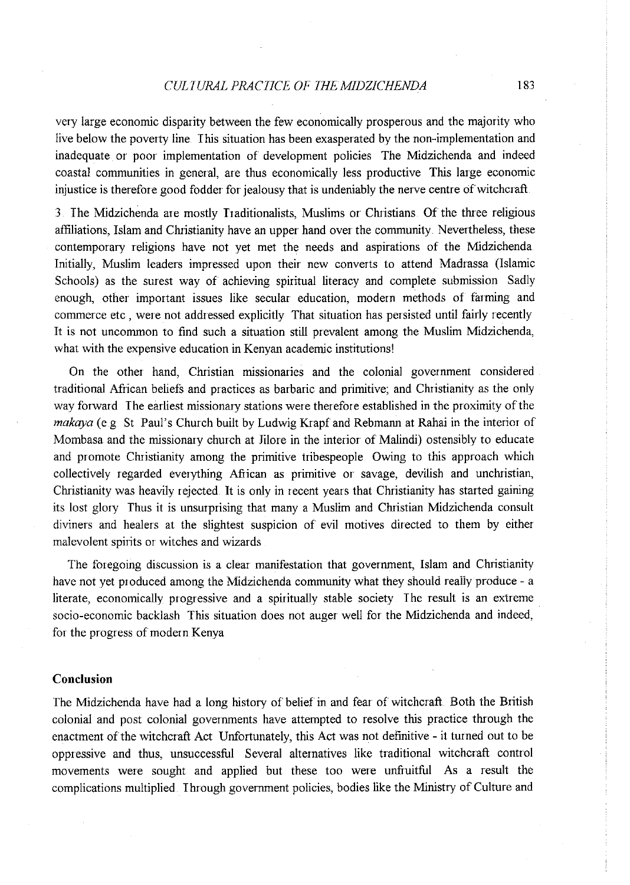## *CULTURAL PRACTICE OF THEMIDZICHENDA* 183

very large economic disparity between the few economically prosperous and the majority who live below the poverty line This situation has been exasperated by the non-implementation and inadequate or poor implementation of development policies The Midzichenda and indeed coastal communities in general, are thus economically less productive This large economic injustice is therefore good fodder for jealousy that is undeniably the nerve centre of witchcraft.

3. The Midzichenda are mostly Traditionalists, Muslims or Christians. Of the three religious affiliations, Islam and Christianity have an upper hand over the community. Nevertheless, these contemporary religions have not yet met the needs and aspirations of the Midzichenda Initially, Muslim leaders impressed upon their new converts to attend Madrassa (Islamic Schools) as the surest way of achieving spiritual literacy and complete submission Sadly enough, other important issues like secular education, modern methods of farming and commerce etc , were not addressed explicitly That situation has persisted until fairly recently It is not uncommon to find such a situation still prevalent among the Muslim Midzichenda, what with the expensive education in Kenyan academic institutions!

On the other hand, Christian missionaries and the colonial government considered traditional African beliefs and practices as barbaric and primitive; and Cluistianity as the only way forward The earliest missionary stations were therefore established in the proximity of the *makaya* (e.g. St. Paul's Church built by Ludwig Krapf and Rebmann at Rahai in the interior of Mombasa and the missionary church at Jilore in the interior of Malindi) ostensibly to educate and promote Christianity among the primitive tribespeople. Owing to this approach which collectively regarded everything African as primitive or savage, devilish and unchristian, Christianity was heavily rejected. It is only in recent years that Christianity has started gaining its lost glory Thus it is unsurprising that many a Muslim and Christian Midzichenda consult diviners and healers at the slightest suspicion of evil motives directed to them by either malevolent spirits or witches and wizards

The foregoing discussion is a clear manifestation that government, Islam and Christianity have not yet produced among the Midzichenda community what they should really produce - a literate, economically progressive and a spiritually stable society The result is an extreme socio-economic backlash This situation does not auger well for the Midzichenda and indeed, for the progress of modern Kenya

#### **Conclusion**

The Midzichenda have had a long history of belief in and fear of witchcraft Both the British colonial and post colonial governments have attempted to resolve this practice through the enactment of the witchcraft Act Unfortunately, this Act was not definitive- it turned out to be oppressive and thus, unsuccessful Several alternatives like traditional witchcraft control movements were sought and applied but these too were unfruitful As a result the complications multiplied Through government policies, bodies like the Ministry of Culture and